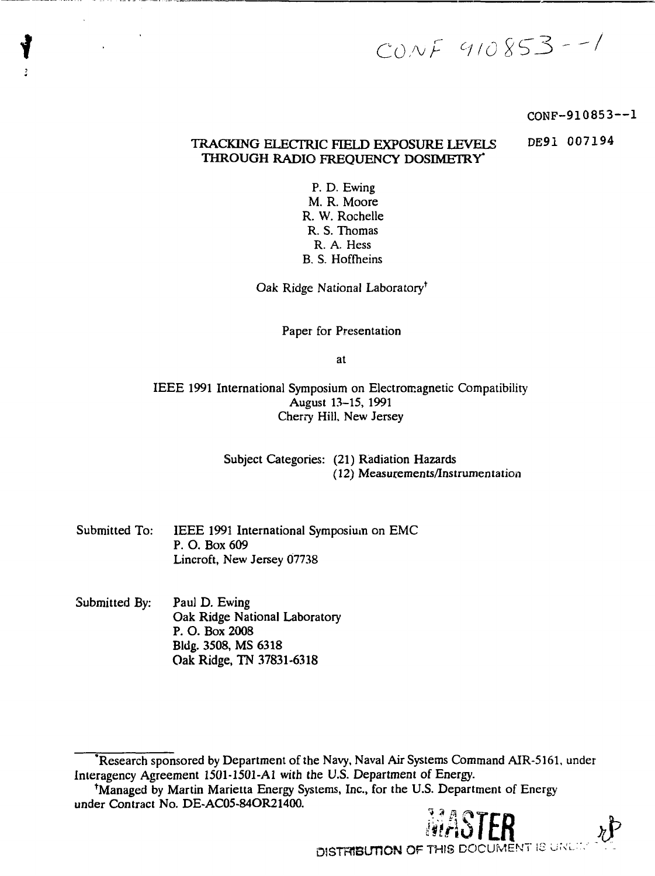$CONF 910853--1$ 

CONF-910853—1

## TRACKING ELECTRIC FIELD EXPOSURE LEVELS THROUGH RADIO FREQUENCY DOSIMETRY\* DE91 007194

P. D. Ewing M. R. Moore R. W. Rochelle R. S. Thomas R. A. Hess B. S. Hoffheins

Oak Ridge National Laboratory<sup>t</sup>

Paper for Presentation

at

IEEE 1991 International Symposium on Electromagnetic Compatibility August 13-15, 1991 Cherry Hill, New Jersey

> Subject Categories: (21) Radiation Hazards (12) Measurements/Instrumentation

- Submitted To: IEEE 1991 International Symposium on EMC P. O. Box 609 Lincroft, New Jersey 07738
- Submitted By: Paul D. Ewing Oak Ridge National Laboratory P. O. Box 2008 Bldg. 3508, MS 6318 Oak Ridge, TN 37831-6318

<sup>&</sup>lt;sup>†</sup>Managed by Martin Marietta Energy Systems, Inc., for the U.S. Department of Energy under Contract No. DE-AC05-84OR21400.



Research sponsored by Department of the Navy, Naval Air Systems Command AIR-5161, under Interagency Agreement 1501-1501-Al with the U.S. Department of Energy.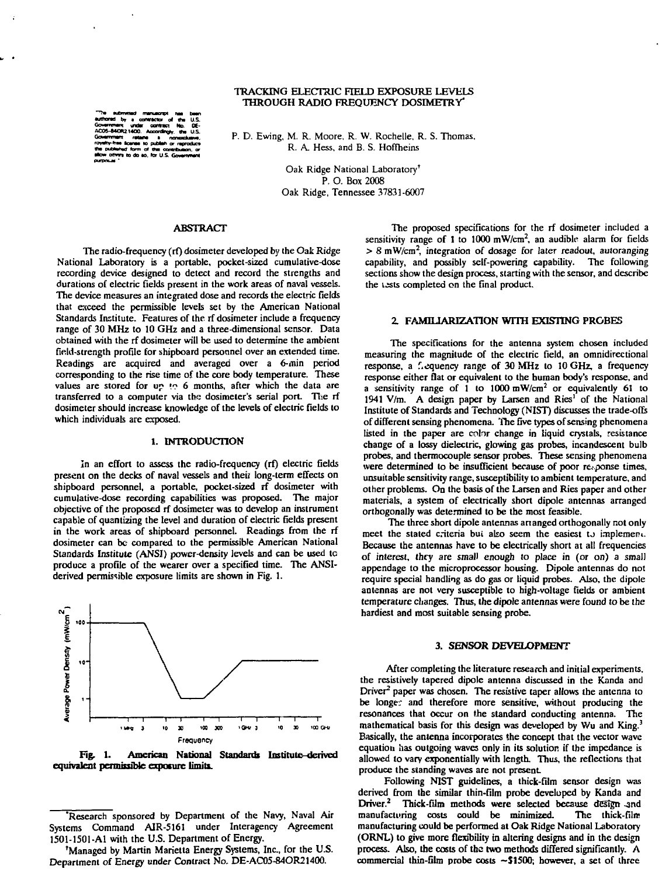### TRACKING ELECTRIC FIELD EXPOSURE LEVELS THROUGH RADIO FREQUENCY DOSIMETRY"

P. D. Ewing, M. R. Moore, R. W. Rochelle, R. S. Thomas, R. A. Hess, and B. S. Hoffheins

> Oak Ridge National Laboratory\* P. 0. Box 2008 Oak Ridge, Tennessee 37831-6007

#### ABSTRACT

The radio-frequency (rf) dosimeter developed by the Oat Ridge National Laboratory is a portable, pocket-sized cumulative-dose recording device designed to detect and record the strengths and durations of electric fields present in the work areas of naval vessels. The device measures an integrated dose and records the electric fields that exceed the permissible levels set by the American National Standards Institute. Features of the rf dosimeter include a frequency range of 30 MHz to 10 GHz and a three-dimensional sensor. Data obtained with the rf dosimeter will be used to determine the ambient field-strength profile for shipboard personnel over an extended time. Readings are acquired and averaged over a 6-min period corresponding to the rise time of the core body temperature. These values are stored for  $u$ <sup>2</sup> to 6 months, after which the data are transferred to a computer via the dosimeter's serial port. The rf dosimeter should increase knowledge of the levels of electric fields to which individuals are exposed.

# 1. **INTRODUCTION**

in an effort to assess the radio-frequency (rf) electric fields present on the decks of naval vessels and their long-term effects on shipboard personnel, a portable, pocket-sized rf dosimeter with cumulative-dose recording capabilities was proposed. The major objective of the proposed rf dosimeter was to develop an instrument capable of quantizing the level and duration of electric fields present in the work areas of shipboard personnel. Readings from the rf dosimeter can be compared to the permissible American National Standards Institute (ANSI) power-density levels and can be used to produce a profile of the wearer over a specified time. The ANSIderived permissible exposure limits are shown in Fig. 1.



Fig. 1. American National Standards Institute-derived **equivalent permissible exposure limits.**

Research sponsored by Department of the Navy, Naval Air Systems Command AIR-5161 under Interagency Agreement 15O1-15O1-A1 with the U.S. Department of Energy.

'Managed by Martin Marietta Energy Systems, Inc., for the U.S. Department of Energy under Contract No. DE-AC05-84OR21400.

The proposed specifications for the rf dosimeter included a sensitivity range of 1 to 1000 mW/cm<sup>2</sup>, an audible alarm for fields  $> 8$  mW/cm<sup>2</sup>, integration of dosage for later readout, autoranging capability, and possibly self-powering capability. The following sections show the design process, starting with the sensor, and describe the lists completed on the final product.

## 2. **FAMILIARIZATION WITH EXISTING** PROBES

The specifications for the antenna system chosen included measuring the magnitude of the electric field, an omnidirectional response, a frequency range of 30 MHz to 10 GHz, a frequency response either flat or equivalent to the human body's response, and a sensitivity range of 1 to 1000 mW/cm<sup>2</sup> or equivalently 61 to 1941 V/m. A design paper by Larsen and Ries<sup>1</sup> of the National Institute of Standards and Technology (NIST) discusses the trade-offs of different sensing phenomena. The five types of sensing phenomena listed in the paper are color change in liquid crystals, resistance change of a lossy dielectric, glowing gas probes, incandescent bulb probes, and thermocouple sensor probes. These sensing phenomena were determined to be insufficient because of poor response times, unsuitable sensitivity range, susceptibility to ambient temperature, and other problems. On the basis of the Larsen and Ries paper and other materials, a system of electrically short dipole antennas arranged orthogonally was determined to be the most feasible.

The three short dipole antennas ananged orthogonally not only meet the stated criteria bui also seem the easiest to implement. Because the antennas have to be electrically short at all frequencies of interest, (hey are small enough to place in (or on) a small appendage to the microprocessor housing. Dipole antennas do not require special handling as do gas or liquid probes. Also, the dipole antennas are not very susceptible to high-voltage fields or ambient temperature changes. Thus, the dipole antennas were found to be the hardiest and most suitable sensing probe.

### 3. SENSOR DEVELOPMENT

After completing the literature research and initial experiments. the resistively tapered dipole antenna discussed in the Kanda and Driver<sup>2</sup> paper was chosen. The resistive taper allows the antenna to be longer and therefore more sensitive, without producing the resonances that occur on the standard conducting antenna. The mathematical basis for this design was developed by Wu and King.<sup>3</sup> Basically, the antenna incorporates the concept that the vector wave equation has outgoing waves only in its solution if the impedance is allowed to vary exponentially with length. Thus, the reflections that produce the standing waves are not present.

Following NIST guidelines, a thick-film sensor design was derived from the similar thin-film probe developed by Kanda and Driver.<sup>2</sup> Thick-film methods were selected because design and manufacturing costs could be minimized. The thick-film manufacturing could be performed at Oak Ridge National Laboratory (ORNL) to give more flexibility in altering designs and in the design process. Also, the costs of the two methods differed significantly. A commercial thin-film probe costs  $\sim $1500$ ; however, a set of three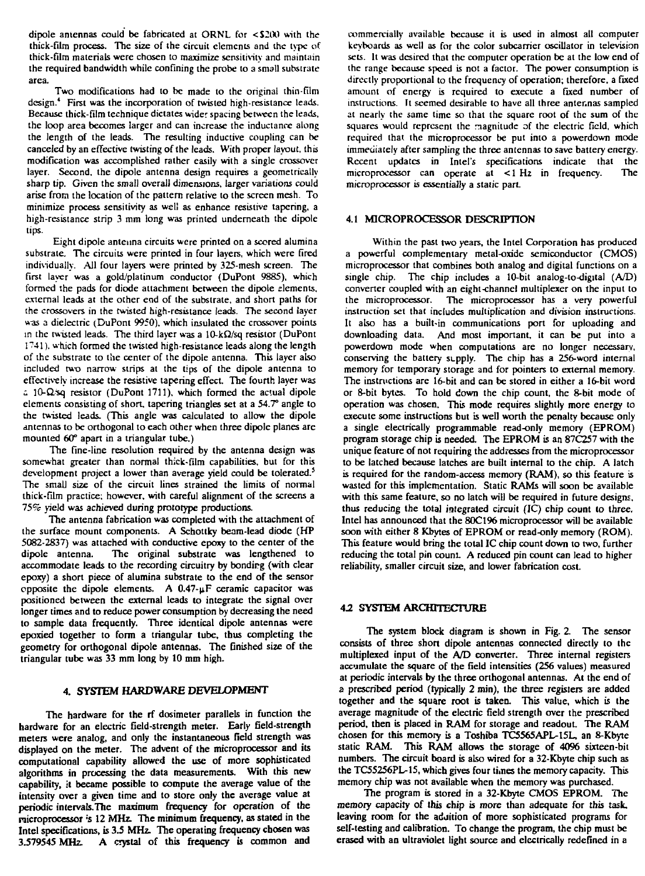dipole antennas could be fabricated at ORNL for <\$200 with the thick-film process. The size of the circuit elements and the type of thick-film materials were chosen to maximize sensitivity and maintain the required bandwidth while confining the probe to a small substrate area.

Two modifications had to be made to the original thin-film design.<sup>4</sup> First was the incorporation of twisted high-resistance leads. Because thick-film technique dictates wider spacing between the leads, the loop area becomes larger and can increase the inductance along the length of the leads. The resulting inductive coupling can be canceled by an effective twisting of the leads. With proper layout, this modification was accomplished rather easily with a single crossover layer. Second, the dipole antenna design requires a geometrically sharp tip. Given the small overall dimensions, larger variations could arise from the location of the pattern relative to the screen mesh. To minimize process sensitivity as well as enhance resistive tapering, a high-resistance strip 3 mm long was printed underneath the dipole tips.

Eight dipole antenna circuits were printed on a scored alumina substrate. The circuits were printed in four layers, which were fired individually. All four layers were printed by 325-mesh screen. The first layer was a gold/platinum conductor (DuPont 9885). which formed the pads for diode attachment between the dipole elements, external leads at the other end of the substrate, and short paths for the crossovers in the twisted high-resistance leads. The second layer was a dielectric (DuPont 9950), which insulated the crossover points m the twisted leads. The third layer was a  $10-k\Omega/sq$  resistor (DuPont 1 741). which formed the twisted high-resistance leads along the length of the substrate to the center of the dipole antenna. This layer also included two narrow strips at the lips of the dipole antenna to effectively increase the resistive tapering effect. The fourth layer was *L* 10-Q^sq resistor (DuPont 1711), which formed the actual dipole elements consisting of short, tapering triangles set at a 54.7° angle to the twisted leads. (This angle was calculated to allow the dipole antennas to be orthogonal to each other when three dipole planes are mounted 60° apart in a triangular tube.)

The fine-line resolution required by the antenna design was somewhat greater than normal thick-film capabilities, but for this development project a lower than average yield could be tolerated.<sup>5</sup> The small size of the circuit lines strained the limits of normal thick-film practice; however, with careful alignment of the screens a 75% yield was achieved during prototype productions.

The antenna fabrication was completed with the attachment of the surface mount components. A Schottky beam-lead diode (HP 5082-2837) was attached with conductive epoxy to the center of the dipole antenna. The original substrate was lengthened to accommodate leads to the recording circuitry by bonding (with clear epoxy) a short piece of alumina substrate to the end of the sensor opposite the dipole elements. A 0.47-uF ceramic capacitor was positioned between the external leads to integrate the signal over longer times and to reduce power consumption by decreasing the need to sample data frequently. Three identical dipole antennas were epoxied together to form a triangular tube, thus completing the geometry for orthogonal dipole antennas. The finished size of the triangular tube was 33 mm long by 10 mm high.

# **4. SYSTEM HARDWARE DEVELOPMENT**

The hardware for the rf dosimeter parallels in function the hardware for an electric field-strength meter. Early field-strength meters were analog, and only the instantaneous field strength was displayed on the meter. The advent of the microprocessor and its computational capability allowed the use of more sophisticated algorithms in processing the data measurements. With this new capability, it became possible to compute the average value of the intensity over a given time and to store only the average value at periodic intervals.The maximum frequency for operation of the **microprocessor :s 12 MHz. The minimum frequency, as stated in the Intel specifications, is 3.5 MHz. The operating frequency chosen was 3.579545 MHz. A ciystal of this frequency is common and**

commercially available because it is used in almost all computer keyboards as well as for the color subcarrier oscillator in television sets. It was desired that the computer operation be at the low end of the range because speed is not a factor. The power consumption is directly proportional to the frequency of operation; therefore, a fixed amount of energy is required to execute a fixed number of iastructions. It seemed desirable to have all three antennas sampled at nearly the same time so that the square root of the sum of the squares would represent the magnitude of the electric field, which required that the microprocessor be put into a powerdown mode immediately after sampling the three antennas to save battery energy. Recent updates in Intel's specifications indicate that the microprocessor can operate at <1 Hz in frequency. The microprocessor is essentially a static part

## 4.1 MICROPROCESSOR DESCRIPTION

Within the past two years, the Intel Corporation has produced a powerful complementary metal-oxide semiconductor (CMOS) microprocessor that combines both analog and digital functions on a single chip. The chip includes a 10-bit analog-to-digital (A/D) converter coupled with an eight-channel multiplexer on the input to the microprocessor. The microprocessor has a very powerful instruction set that includes multiplication and division instructions. It also has a built-in communications port for uploading and downloading data. And most important, it can be put into a powerdown mode when computations are no longer necessary, conserving the battery supply. The chip has a 256-word internal memory for temporary storage and for pointers to external memory. The instructions are 16-bit and can be stored in either a 16-bit word or 8-bit bytes. To hold down the chip count, the 8-bit mode of operation was chosen. This mode requires slightly more energy to execute some instructions but is well worth the penalty because only a single electrically programmable read-only memory (EPROM) program storage chip is needed. The EPROM is an 87C257 with the unique feature of not requiring the addresses from the microprocessor to be latched because latches are built internal to the chip. A latch is required for the random-access memory (RAM), so this feature is wasted for this implementation. Static RAMs will soon be available with this same feature, so no latch will be required in future designs, thus reducing the total integrated circuit (IC) chip count to three. Intel has announced that the 80C196 microprocessor will be available soon with either 8 Kbytes of EPROM or read-only memory (ROM). This feature would bring the total IC chip count down to two, further reducing the total pin count. A reduced pin count can lead to higher reliability, smaller circuit size, and lower fabrication cost.

## *42* **SYSTEM** ARCHITECTURE

The system block diagram is shown in Fig. 2. The sensor consists of three short dipole antennas connected directly to the multiplexed input of the A/D converter. Three internal registers accumulate the square of the field intensities (256 values) measured at periodic intervals by the three orthogonal antennas. At the end of a prescribed period (typically 2 min), the three registers are added together and the square root is taken. This value, which is the average magnitude of the electric field strength over the prescribed period, then is placed in RAM for storage and readout. The RAM chosen for this memory is a Toshiba TC5565APL-15L, an 8-Kbyte static RAM. This RAM allows the storage of 4096 sixteen-bit numbers. The circuit board is also wired for a 32-Kbyte chip such as the TC55256PL-15, which gives four times the memory capacity. This memory chip was not available when the memory was purchased.

The program is stored in a 32-Kbyte CMOS EPROM. The memory capacity of this chip is more than adequate for this task, leaving room for the addition of more sophisticated programs for self-testing and calibration. To change the program, the chip must be erased with an ultraviolet light source and electrically redefined in a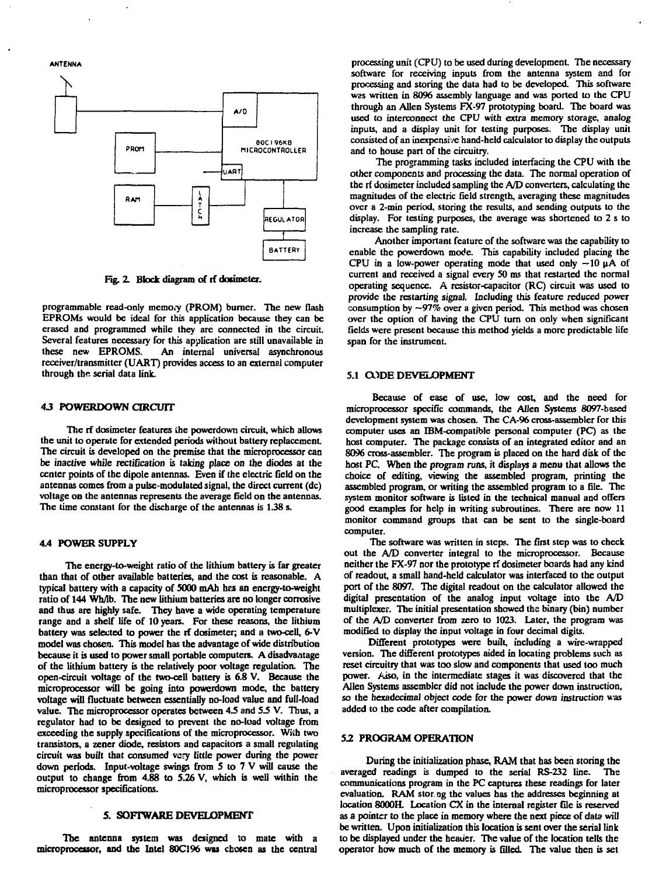**ANTENNA**



**Fig. 2. Block diagram of rf dosimeter.**

programmable read-only memory (PROM) burner. The new flash **EPROMs would be ideal for this application because they can be erased and programmed while they are connected in the circuit Several features necessary for this application are still unavailable in these new EPROMS.** An internal universal asynchronous An internal universal asynchronous **receiver/transmitter (UART) provides access to an external computer through the serial data link.**

### *43* **POWERDOWN CIRCUIT**

**The rf dosimeter features the powerdown circuit, which allows the unit to operate for extended periods without battery replacement The circuit is developed on the premise that the microprocessor can be inactive whiie rectification is taking place on the diodes at the center points of the dipole antennas. Even if the electric Geld on the antennas comes from a pulse-modulated signal, the direct current (dc) voltage on the antennas represents the average Geld on the antennas. The time constant for the discharge of the antennas is 1.38 s.**

### **4.4 POWER SUPPLY**

**The energy-to-weight ratio of the lithium battery is far greater than that of other available batteries, and the cost is reasonable. A typical battery with a capacity of 5000 mAh hss an energy-to-weight ratio of 144 Wh/lb. The new lithium batteries are no longer corrosive and thus are highly safe. They have a wide operating temperature range and a shelf life of 10 years. For these reasons, the lithium battery was selected to power the rf dosimeter; and a two-cell, 6-V model was chosen. This model has the advantage of wide distribution because it is used to power small portable computers. A disadvantage of the lithium battery is the relatively poor voltage regulation. The open-circuit voltage of the two-cell battery is 6.8 V. Because the microprocessor will be going into powerdown mode, the battery voltage will fluctuate between essentially no-load value and full-load value. The microprocessor operates between 4.5 and 5.5 V. Thus, a regulator had to be designed to prevent the no-load voltage from exceeding the supply specifications of the microprocessor. With two transistors, a zener diode, resistors and capacitors a small regulating circuit was built that consumed very little power during the power down periods. Input-voltage swings from 5 to 7 V will cause the output to change from 4.88 to 5.26 V, which is well within the microprocessor specifications.**

### **5. SOFTWARE DEVELOPMENT**

**The antenna system was designed to mate with a microprocessor, and the Intel 80C196 was chosen as the central**

processing unit (CPU) to be used during development. The necessary **software for receiving inputs from the antenna system and for processing and storing the data had to be developed. This software was written in 8096 assembly language and was ported to the CPU through an Allen Systems FX-97 prototyping board. The board was used to interconnect the CPU with extra memory storage, analog inputs, and a display unit for testing purposes. The display unit consisted of an inexpensive hand-held calculator to display the outputs and to bouse part of the circuitry.**

**The programming tasks included interfacing the CPU with the other components and processing the data. The normal operation of the rf dosimeter included sampling the A/D converters, calculating the magnitudes of the electric field strength, averaging these magnitudes over a 2-min period, storing the results, and sending outputs to the display. For testing purposes, the average was shortened to 2 s to increase the sampling rate.**

**Another important feature of the software was the capability to enable the powerdown mode. This capability included placing the CPU in a low-power operating mode that used only —10 uA of current and received a signal every 50 ms that restarted the normal operating sequence. A resistor-capacitor (RC) circuit was used to provide the restarting signal. Including this feature reduced power consumption by —97% over a given period. This method was chosen over the option of having the CPU turn on only when significant fields were present because this method yields a more predictable life span for the instrument**

# **5.1 CODE DEVELOPMENT**

**Because of ease of use, low cost, and the need for microprocessor specific commands, the Allen Systems 8097-based development system was chosen. The CA-96 cross-assembler for this computer uses an IBM-compatible personal computer (PC) as the host computer. The package consists of an integrated editor and an 8096 cross-assembler. The program is placed on the hard disk of the host PC. When the program runs, it displays a menu that allows the choice of editing, viewing the assembled program, printing the assembled program, or writing the assembled program to a file. The system monitor software is listed in the technical manual and offers good examples for help in writing subroutines. There are now 11 monitor command groups that can be sent to the single-board computer.**

**The software was written in steps. The first step was to check out the A/D converter integral to the microprocessor. Because neither the FX-97 nor the prototype rf dosimeter boards had any kind of readout, a small hand-held calculator was interfaced to the output port of the 8097. The digital readout on the calculator allowed the digital presentation of the analog input voltage into the A/D multiplexer. The initial presentation showed the binary (bin) number of the A/D converter from zero to 1023. Later, the program was modified to display the input voltage in four decimal digits.**

**Different prototypes were built, including a wire-wrapped version. The different prototypes aided in locating problems such as reset circuitry that was too slow and components that used too much power. Aiso, in the intermediate stages it was discovered that the Allen Systems assembler did not include the power down instruction, so the hexadecimal object code for the power down instruction was added to the code after compilation.**

#### *52* **PROGRAM OPERATION**

**During the initialization phase, RAM that has been storing the averaged readings is dumped to the serial RS-232 line. The communications program in the PC captures these readings for later evaluation. RAM stor. ng the values has the addresses beginning at location 8000H. Location CX in the internal register file is reserved as a pointer to the place in memory where the next piece of data will be written. Upon initialization this location is sent over the serial link to be displayed under the header. The value of the location tells the operator how much of the memory is filled. The value then is set**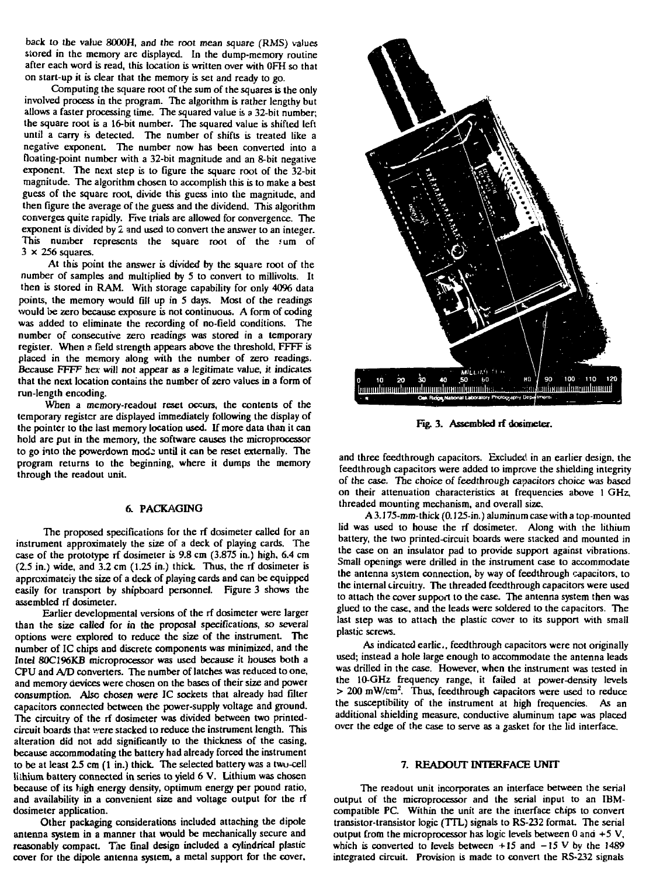back to the value 8000H, and the root mean square (RMS) values **stored in the memory are displayed. In the dump-memory routine after each word is read, this location is written over with OFH so that on start-up it is clear that the memory is set and ready to go.**

**Computing the square root of the sum of the squares is the only involved process in the program. The algorithm is rather lengthy but allows a faster processing time. The squared value is a 32-bit number; the square root is a 16-bit number. The squared value is shifted left until a carry is detected. The number of shifts is treated like a negative exponent. The number now has been converted into a floating-point number with a 32-bit magnitude and an 8-bit negative exponent. The next step is to figure the square root of the 32-bit magnitude. The algorithm chosen to accomplish this is to make a best guess of the square root, divide this guess into the magnitude, and then figure the average of the guess and the dividend. This algorithm converges quite rapidly. Five trials are allowed for convergence. The exponent is divided by 2 and used to convert the answer to an integer.** This number represents the square root of the sum of **3 x 256 squares.**

**At this point the answer is divided by the square root of the number of samples and multiplied by 5 to convert to millivolts. It then is stored in RAM. With storage capability for only 40% data points, the memory would fill up in 5 days. Most of the readings would be zero because exposure is not continuous. A form of coding was added to eliminate the recording of no-field conditions. The number of consecutive zero readings was stored in a temporary register. When a field strength appears above the threshold, FFFF is placed in the memoiy along with the number of zero readings. Because FFFF hex will not appear as a legitimate value, it indicates that the next location contains the number of zero values in a form of run-length encoding.**

**When a memory-readout reset occurs, the contents of the temporary register are displayed immediately following the display of the pointer to the last memory location used. If more data than it can hold are put in the memory, the software causes the microprocessor to go into the powerdown mod.: until it can be reset externally. The program returns to the beginning, where it dumps the memory through the readout unit.**

### *6.* **PACKAGING**

**The proposed specifications for the rf dosimeter called for an instrument approximately the size of a deck of playing cards. The case of the prototype rf dosimeter is 9.8 cm (3.875 in.) high, 6.4 cm (2.5 in.) wide, and 3.2 cm (1.25 in.) thick. Thus, the rf dosimeter is approximately the size of a deck of playing cards and can be equipped easily for transport by shipboard personnel. Figure 3 shows the assembled rf dosimeter.**

**Earlier developmental versions of the rf dosimeter were larger than the size called for in the proposal specifications, so several options were explored to reduce the size of the instrument The number of IC chips and discrete components was minimized, and the Intel 80C196KB microprocessor was used because it bouses both a CPU and A/D converters. The number of latches was reduced to one, and memory devices were chosen on the bases of their size and power consumption. Also chosen were IC sockets that already had filter capacitors connected between the power-supply voltage and ground. The circuitry of the rf dosimeter was divided between two printedcircuit boards that were stacked to reduce the instrument length. This alteration did not add significantly to the thickness of the casing, because accommodating the battery had already forced the instrument to be at least 2.5 cm (1 in.) thick. The selected battery was a two-cell** lithium battery connected in series to yield 6 V. Lithium was chosen **because of its high energy density, optimum energy per pound ratio, and availability in a convenient size and voltage output for the rf dosimeter application.**

**Other packaging considerations included attaching the dipole antenna system in a manner that would be mechanically secure and** reasonably compact. The final design included a cylindrical plastic **cover for the dipole antenna system, a metal support for the cover.**



**Fig. 3. Assembled if dosimeter.**

**and three feedthrough capacitors. Excluded, in an earlier design, the feedthrough capacitors were added to improve the shielding integrity of the case. The choice of feedthrough capacitors choice was based on their attenuation characteristics at frequencies above 1 GHz, threaded mounting mechanism, and overall size.**

**A 3.175-mm-thick (0.125-in.) aluminum case with a top-mounted lid was used to house the rf dosimeter. Along with the lithium battery, the two printed-circuit boards were stacked and mounted in the case on an insulator pad to provide support against vibrations. Small openings were drilled in the instrument case to accommodate the antenna system connection, by way of feedthrough capacitors, to the internal circuitry. The threaded feedthrough capacitors were used to attach the cover support to the case. The antenna system then was glued to the case, and the leads were soldered to the capacitors. The last step was to attach the plastic cover to its support with small plastic screws.**

**As indicated earlic, feedthrough capacitors were not originally used; instead a hole large enough to accommodate the antenna leads was drilled in the case. However, when the instrument was tested in the 10-GHz frequency range, it failed at power-density levels > 200 mW/cm<sup>2</sup> . Thus, feedthrough capacitors were used to reduce the susceptibility of the instrument at high frequencies. As an additional shielding measure, conductive aluminum tape was placed over the edge of the case to serve as a gasket for the lid interface.**

# **7. READOUT INTERFACE UNIT**

**The readout unit incorporates an interface between the serial output of the microprocessor and the serial input to an IBMcompatible PC. Within the unit are the interface chips to convert transistor-transistor logic (TTL) signals to RS-232 format The serial output from the microprocessor has logic levels between 0 and +5 V, which is converted to levels between +15 and -15 V by the 1489 integrated circuit Provision is made to convert the RS-232 signals**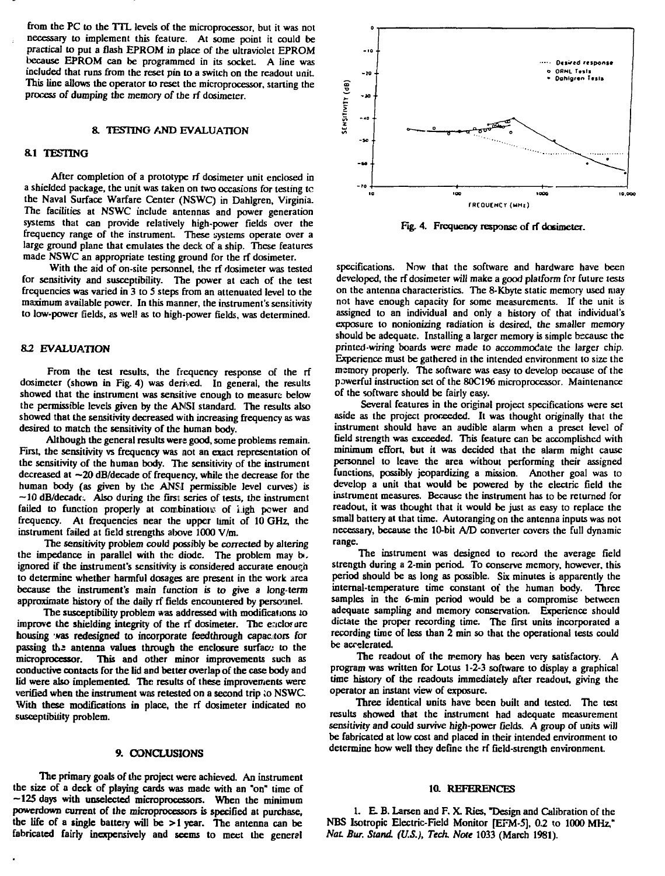**from the PC to the TTL levels of the microprocessor, but it was not necessary to implement this feature. At some point it could be practical to put a flash EPROM in place of the ultraviolet EPROM because EPROM can be programmed in its socket. A line was included that runs from the reset pin to a switch on the readout uniL This line allows the operator to reset the microprocessor, starting the process of dumping the** *memory* **of the rf dosimeter.**

# **TESTING AND EVALUATION**

### **TESTING**

**After completion of a prototype rf dosimeter unit enclosed in a shielded package, the unit was taken on two occasions for testing tc the Naval Surface Warfare Center (NSWC) in Dahlgren, Virginia. The facilities at NSWC include antennas and power generation systems that can provide relatively high-power fields over the frequency range of the instrument. These systems operate over a large ground plane that emulates the deck of a ship. These features made NSWC an appropriate testing ground for the rf dosimeter.**

**With the aid of on-site personnel, the rf dosimeter was tested for sensitivity and susceptibility. The power at each of the test frequencies was varied in 3 to 5 steps from an attenuated level to the maximum available power. In this manner, the instrument's sensitivity to low-power Gelds, as well as to high-power fields, was determined.**

# **a 2 EVALUATION**

**From the test results, the frequency response of the rf dosimeter (shown in Fig. 4) was derived. In general, the results showed that the instrument was sensitive enough to measure below the permissible levels given by the ANSI standard. The results also showed that the sensitivity decreased with increasing frequency as was desired to match the sensitivity of the human body.**

**Although the general results were good, some problems remain. First, the sensitivity vs frequency was not an exact representation of the sensitivity of the human body. Trie sensitivity of the instrument decreased at —20 dB/decade of frequency, while the decrease for the human body (as given by the ANSI permissible level curves) is — 10 dB/decadc Also during the firsi series of tests, the instrument** failed to function properly at combinations of i.igh power and **frequency. At frequencies near the upper limit of 10 GHz, the instrument failed at field strengths above 1000 V/m.**

**The sensitivity problem could possibly be corrected by altering** the impedance in parallel with the diode. The problem may b. **ignored if the instrument's sensitivity is considered accurate enough to determine whether harmful dosages are present in the work area because the instrument's main function is to give a long-term approximate history of the daily rf fields encountered by personnel.**

**The susceptibility problem was addressed with modifications lo** improve the shielding integrity of the rf dosimeter. The enclosure **housing was redesigned to incorporate feedthrough capacitors for** passing the antenna values through the enclosure surface to the **microprocessor. This and other minor improvements such as conductive contacts for the lid and better overlap of the case body and lid were also implemented. The results of these improvements were verified when the instrument was retested on a second trip io NSWC With these modifications in place, the rf dosimeter indicated no susceptibility problem.**

#### **9. CONCLUSIONS**

**The primary goals of the project were achieved. An instrument the size of a deck of playing cards was made with an "on" time of —125 days with unselected microprocessors. When the minimum powerdown current of the microprocessors is specified at purchase, the life of a single battery will be >1 year. The antenna can be fabricated fairly inexpensively and seems to meet the general**



**Fig. 4. Frequency response of rf dosimeter.**

**specifications. Now that the software and hardware have been developed, the rf dosimeter will make a good platform for future tests on the antenna characteristics. The 8-Kbyte static memory used may not have enough capacity for some measurements. If the unit is assigned to an individual and only a history of that individual's exposure to nonionizing radiation is desired, the smaller memory should be adequate. Installing a larger memory is simple because the printed-wiring boards were made to accommodate the larger chip. Experience must be gathered in the intended environment to size the** memory properly. The software was easy to develop because of the **powerful instruction set of the 80C196 microprocessor. Maintenance of the software should be fairly easy.**

**Several features in the original project specifications were set aside as the project proceeded. It was thought originally thai the instrument should have an audible alarm when a preset level of field strength was exceeded. This feature can be accomplished with minimum effort, but it was decided that the alarm might cause personnel to leave the area without performing their assigned functions, possibly jeopardizing a mission. Another goal was to develop a unit that would be powered by the electric Geld the instrument measures. Because the instrument has to be returned for readout, it was thought that it would be just as easy to replace the small battery at that time. Autoranging on the antenna inputs was not necessary, because the 10-bit A/D converter covers the full dynamic range.**

**The instrument was designed to record the average field strength during a 2-min period. To conserve memory, however, this period should be as long as possible. Six minutes is apparently the internal-temperature time constant of the human body. Three samples in the 6-min period would be a compromise between adequate sampling and memory conservation. Experience should dictate the proper recording time. The first units incorporated a recording time of less than 2 min so that the operational tests could be accelerated.**

**The readout of the memory has been very satisfactory. A program was written for Lotus 1-2-3 software to display a graphical time history of the readouts immediately after readout, giving the operator an instant view of exposure.**

**Three identical units have been built and tested. The test results showed that the instrument had adequate measurement sensitivity and could survive high-power fields. A group of units will be fabricated at low cost and placed in their intended environment to determine bow well they define the rf field-strength environment.**

#### **10. REFERENCES**

**1. E. B. Larsen and F. X. Ries, "Design and Calibration of the NBS Isotropic Electric-Field Monitor [EFM-5], 0.2 to 1000 MHz,"** *Net. Bur. Stand. (U.S.), Tech. Note* **1033 (March 1981).**